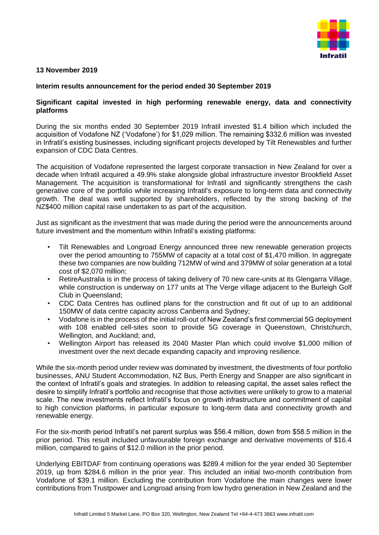

## **13 November 2019**

## **Interim results announcement for the period ended 30 September 2019**

## **Significant capital invested in high performing renewable energy, data and connectivity platforms**

During the six months ended 30 September 2019 Infratil invested \$1.4 billion which included the acquisition of Vodafone NZ ('Vodafone') for \$1,029 million. The remaining \$332.6 million was invested in Infratil's existing businesses, including significant projects developed by Tilt Renewables and further expansion of CDC Data Centres.

The acquisition of Vodafone represented the largest corporate transaction in New Zealand for over a decade when Infratil acquired a 49.9% stake alongside global infrastructure investor Brookfield Asset Management. The acquisition is transformational for Infratil and significantly strengthens the cash generative core of the portfolio while increasing Infratil's exposure to long-term data and connectivity growth. The deal was well supported by shareholders, reflected by the strong backing of the NZ\$400 million capital raise undertaken to as part of the acquisition.

Just as significant as the investment that was made during the period were the announcements around future investment and the momentum within Infratil's existing platforms:

- Tilt Renewables and Longroad Energy announced three new renewable generation projects over the period amounting to 755MW of capacity at a total cost of \$1,470 million. In aggregate these two companies are now building 712MW of wind and 379MW of solar generation at a total cost of \$2,070 million;
- RetireAustralia is in the process of taking delivery of 70 new care-units at its Glengarra Village, while construction is underway on 177 units at The Verge village adjacent to the Burleigh Golf Club in Queensland;
- CDC Data Centres has outlined plans for the construction and fit out of up to an additional 150MW of data centre capacity across Canberra and Sydney;
- Vodafone is in the process of the initial roll-out of New Zealand's first commercial 5G deployment with 108 enabled cell-sites soon to provide 5G coverage in Queenstown, Christchurch, Wellington, and Auckland; and,
- Wellington Airport has released its 2040 Master Plan which could involve \$1,000 million of investment over the next decade expanding capacity and improving resilience.

While the six-month period under review was dominated by investment, the divestments of four portfolio businesses, ANU Student Accommodation, NZ Bus, Perth Energy and Snapper are also significant in the context of Infratil's goals and strategies. In addition to releasing capital, the asset sales reflect the desire to simplify Infratil's portfolio and recognise that those activities were unlikely to grow to a material scale. The new investments reflect Infratil's focus on growth infrastructure and commitment of capital to high conviction platforms, in particular exposure to long-term data and connectivity growth and renewable energy.

For the six-month period Infratil's net parent surplus was \$56.4 million, down from \$58.5 million in the prior period. This result included unfavourable foreign exchange and derivative movements of \$16.4 million, compared to gains of \$12.0 million in the prior period.

Underlying EBITDAF from continuing operations was \$289.4 million for the year ended 30 September 2019, up from \$284.6 million in the prior year. This included an initial two-month contribution from Vodafone of \$39.1 million. Excluding the contribution from Vodafone the main changes were lower contributions from Trustpower and Longroad arising from low hydro generation in New Zealand and the